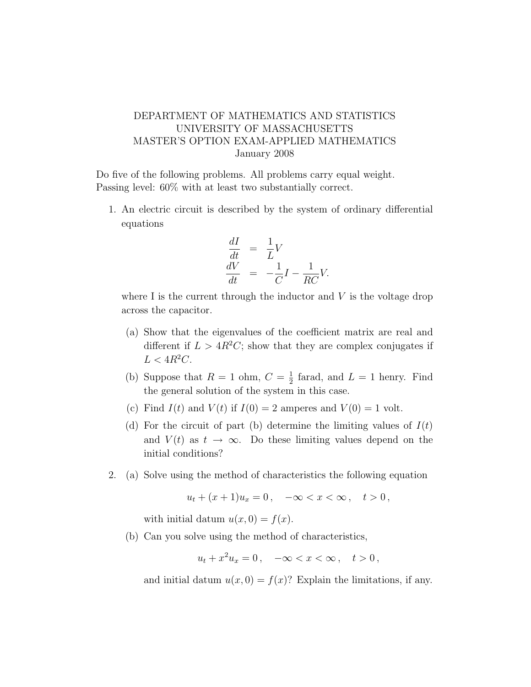## DEPARTMENT OF MATHEMATICS AND STATISTICS UNIVERSITY OF MASSACHUSETTS MASTER'S OPTION EXAM-APPLIED MATHEMATICS January 2008

Do five of the following problems. All problems carry equal weight. Passing level: 60% with at least two substantially correct.

1. An electric circuit is described by the system of ordinary differential equations

$$
\begin{aligned}\n\frac{dI}{dt} &= \frac{1}{L}V\\
\frac{dV}{dt} &= -\frac{1}{C}I - \frac{1}{RC}V.\n\end{aligned}
$$

where I is the current through the inductor and  $V$  is the voltage drop across the capacitor.

- (a) Show that the eigenvalues of the coefficient matrix are real and different if  $L > 4R^2C$ ; show that they are complex conjugates if  $L < 4R^2C$ .
- (b) Suppose that  $R = 1$  ohm,  $C = \frac{1}{2}$  $\frac{1}{2}$  farad, and  $L = 1$  henry. Find the general solution of the system in this case.
- (c) Find  $I(t)$  and  $V(t)$  if  $I(0) = 2$  amperes and  $V(0) = 1$  volt.
- (d) For the circuit of part (b) determine the limiting values of  $I(t)$ and  $V(t)$  as  $t \to \infty$ . Do these limiting values depend on the initial conditions?
- 2. (a) Solve using the method of characteristics the following equation

$$
u_t + (x+1)u_x = 0, \quad -\infty < x < \infty \,, \quad t > 0 \,,
$$

with initial datum  $u(x, 0) = f(x)$ .

(b) Can you solve using the method of characteristics,

$$
u_t + x^2 u_x = 0, \quad -\infty < x < \infty \,, \quad t > 0 \,,
$$

and initial datum  $u(x, 0) = f(x)$ ? Explain the limitations, if any.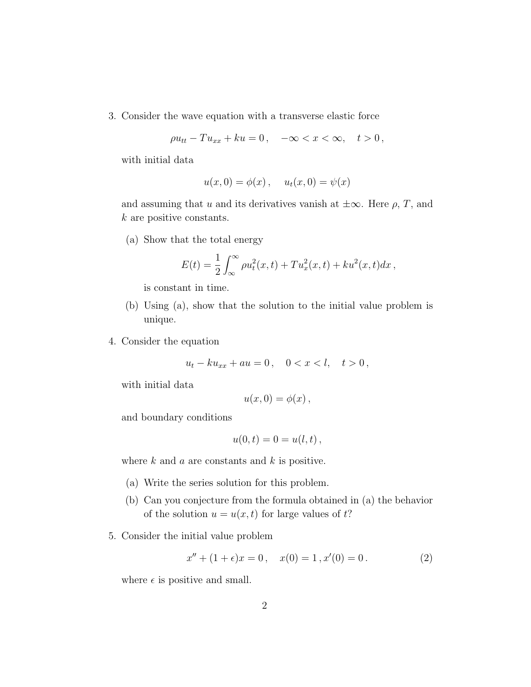3. Consider the wave equation with a transverse elastic force

$$
\rho u_{tt} - T u_{xx} + k u = 0, \quad -\infty < x < \infty, \quad t > 0
$$

with initial data

$$
u(x, 0) = \phi(x), \quad u_t(x, 0) = \psi(x)
$$

and assuming that u and its derivatives vanish at  $\pm \infty$ . Here  $\rho$ , T, and k are positive constants.

(a) Show that the total energy

$$
E(t) = \frac{1}{2} \int_{-\infty}^{\infty} \rho u_t^2(x, t) + T u_x^2(x, t) + k u^2(x, t) dx,
$$

is constant in time.

- (b) Using (a), show that the solution to the initial value problem is unique.
- 4. Consider the equation

$$
u_t - k u_{xx} + au = 0, \quad 0 < x < l, \quad t > 0
$$

with initial data

$$
u(x,0)=\phi(x)\,
$$

and boundary conditions

$$
u(0,t) = 0 = u(l,t) ,
$$

where  $k$  and  $a$  are constants and  $k$  is positive.

- (a) Write the series solution for this problem.
- (b) Can you conjecture from the formula obtained in (a) the behavior of the solution  $u = u(x, t)$  for large values of t?
- 5. Consider the initial value problem

$$
x'' + (1 + \epsilon)x = 0, \quad x(0) = 1, x'(0) = 0.
$$
 (2)

where  $\epsilon$  is positive and small.